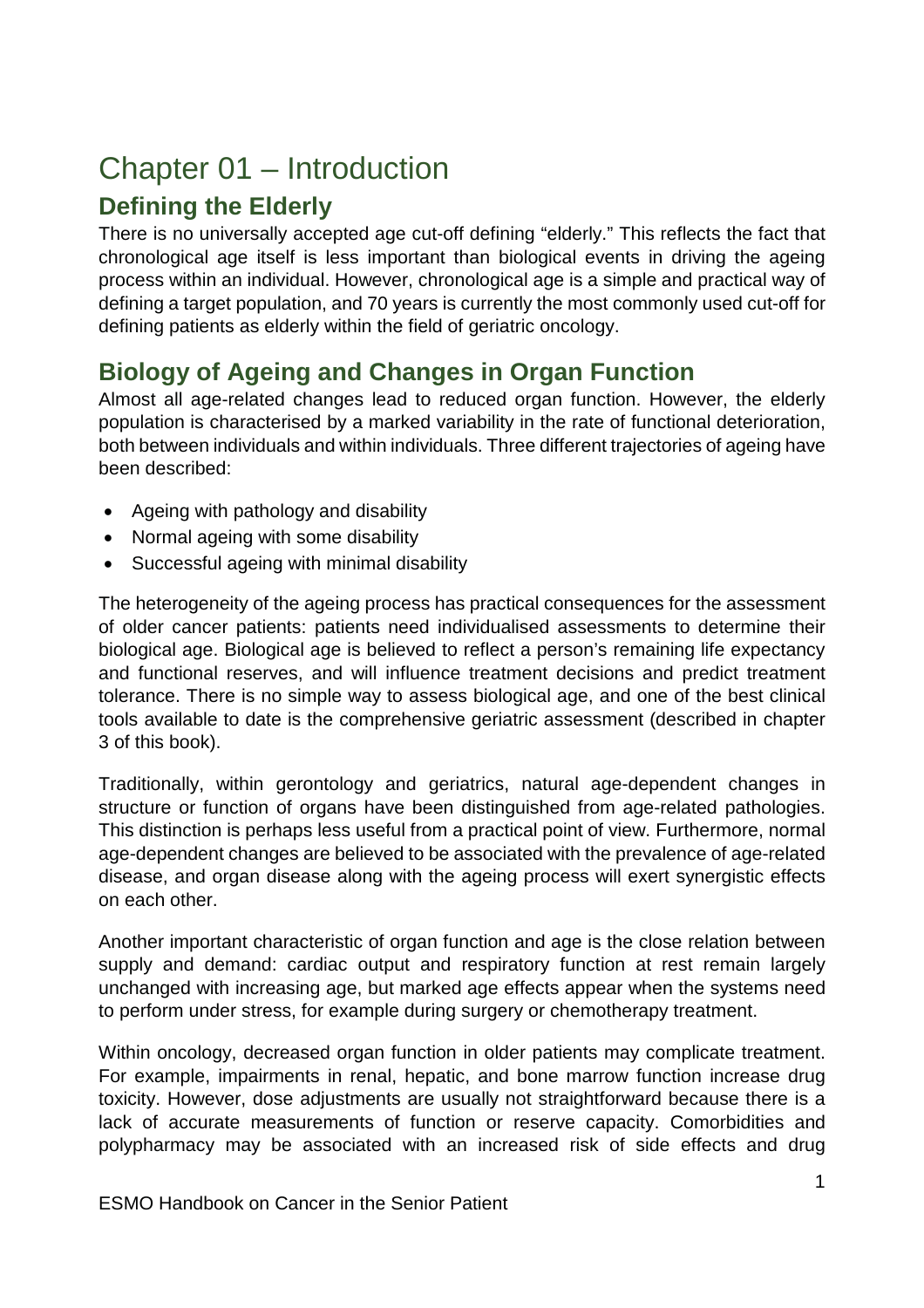# Chapter 01 – Introduction

# **Defining the Elderly**

There is no universally accepted age cut-off defining "elderly." This reflects the fact that chronological age itself is less important than biological events in driving the ageing process within an individual. However, chronological age is a simple and practical way of defining a target population, and 70 years is currently the most commonly used cut-off for defining patients as elderly within the field of geriatric oncology.

# **Biology of Ageing and Changes in Organ Function**

Almost all age-related changes lead to reduced organ function. However, the elderly population is characterised by a marked variability in the rate of functional deterioration, both between individuals and within individuals. Three different trajectories of ageing have been described:

- Ageing with pathology and disability
- Normal ageing with some disability
- Successful ageing with minimal disability

The heterogeneity of the ageing process has practical consequences for the assessment of older cancer patients: patients need individualised assessments to determine their biological age. Biological age is believed to reflect a person's remaining life expectancy and functional reserves, and will influence treatment decisions and predict treatment tolerance. There is no simple way to assess biological age, and one of the best clinical tools available to date is the comprehensive geriatric assessment (described in chapter 3 of this book).

Traditionally, within gerontology and geriatrics, natural age-dependent changes in structure or function of organs have been distinguished from age-related pathologies. This distinction is perhaps less useful from a practical point of view. Furthermore, normal age-dependent changes are believed to be associated with the prevalence of age-related disease, and organ disease along with the ageing process will exert synergistic effects on each other.

Another important characteristic of organ function and age is the close relation between supply and demand: cardiac output and respiratory function at rest remain largely unchanged with increasing age, but marked age effects appear when the systems need to perform under stress, for example during surgery or chemotherapy treatment.

Within oncology, decreased organ function in older patients may complicate treatment. For example, impairments in renal, hepatic, and bone marrow function increase drug toxicity. However, dose adjustments are usually not straightforward because there is a lack of accurate measurements of function or reserve capacity. Comorbidities and polypharmacy may be associated with an increased risk of side effects and drug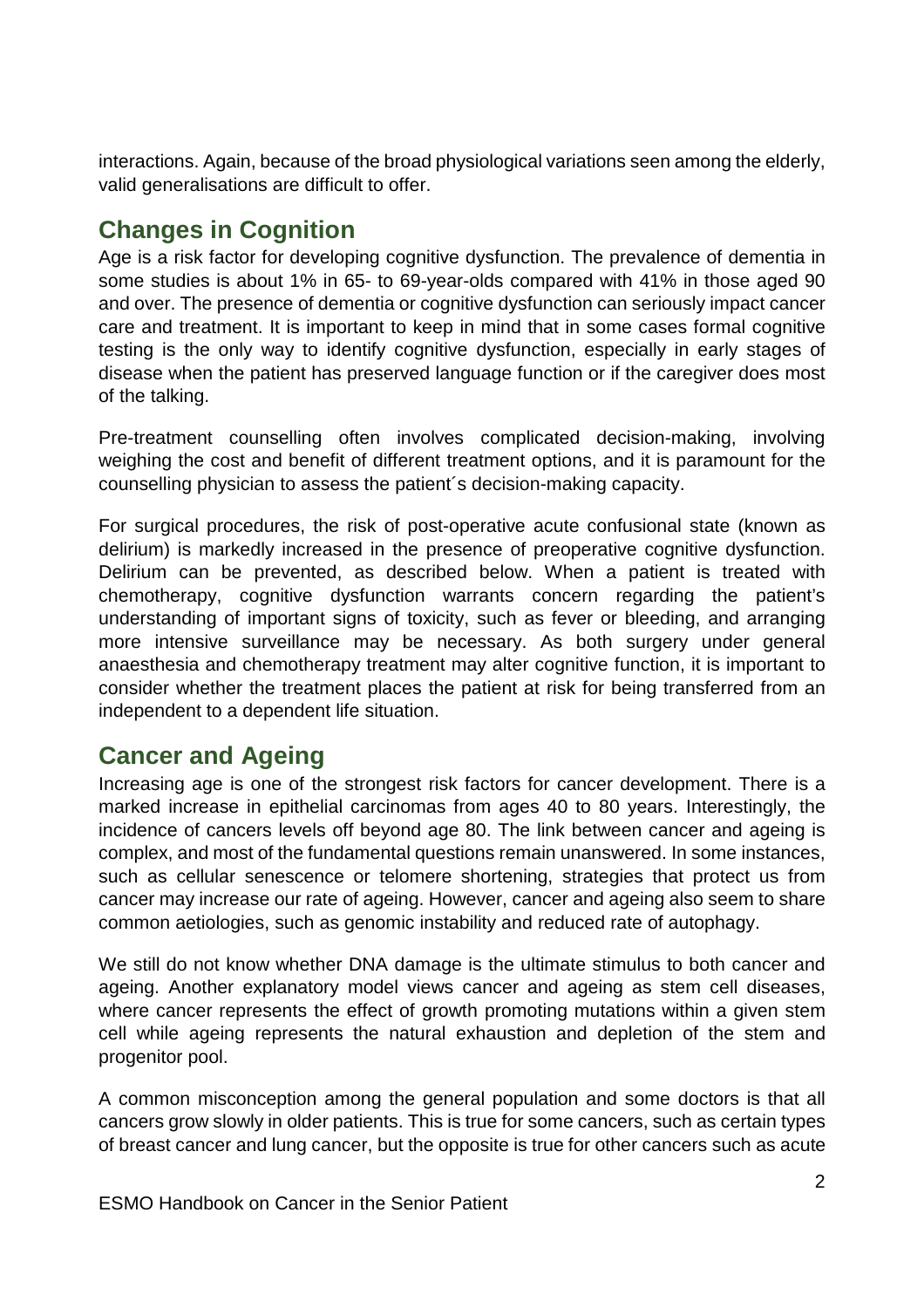interactions. Again, because of the broad physiological variations seen among the elderly, valid generalisations are difficult to offer.

# **Changes in Cognition**

Age is a risk factor for developing cognitive dysfunction. The prevalence of dementia in some studies is about 1% in 65- to 69-year-olds compared with 41% in those aged 90 and over. The presence of dementia or cognitive dysfunction can seriously impact cancer care and treatment. It is important to keep in mind that in some cases formal cognitive testing is the only way to identify cognitive dysfunction, especially in early stages of disease when the patient has preserved language function or if the caregiver does most of the talking.

Pre-treatment counselling often involves complicated decision-making, involving weighing the cost and benefit of different treatment options, and it is paramount for the counselling physician to assess the patient´s decision-making capacity.

For surgical procedures, the risk of post-operative acute confusional state (known as delirium) is markedly increased in the presence of preoperative cognitive dysfunction. Delirium can be prevented, as described below. When a patient is treated with chemotherapy, cognitive dysfunction warrants concern regarding the patient's understanding of important signs of toxicity, such as fever or bleeding, and arranging more intensive surveillance may be necessary. As both surgery under general anaesthesia and chemotherapy treatment may alter cognitive function, it is important to consider whether the treatment places the patient at risk for being transferred from an independent to a dependent life situation.

### **Cancer and Ageing**

Increasing age is one of the strongest risk factors for cancer development. There is a marked increase in epithelial carcinomas from ages 40 to 80 years. Interestingly, the incidence of cancers levels off beyond age 80. The link between cancer and ageing is complex, and most of the fundamental questions remain unanswered. In some instances, such as cellular senescence or telomere shortening, strategies that protect us from cancer may increase our rate of ageing. However, cancer and ageing also seem to share common aetiologies, such as genomic instability and reduced rate of autophagy.

We still do not know whether DNA damage is the ultimate stimulus to both cancer and ageing. Another explanatory model views cancer and ageing as stem cell diseases, where cancer represents the effect of growth promoting mutations within a given stem cell while ageing represents the natural exhaustion and depletion of the stem and progenitor pool.

A common misconception among the general population and some doctors is that all cancers grow slowly in older patients. This is true for some cancers, such as certain types of breast cancer and lung cancer, but the opposite is true for other cancers such as acute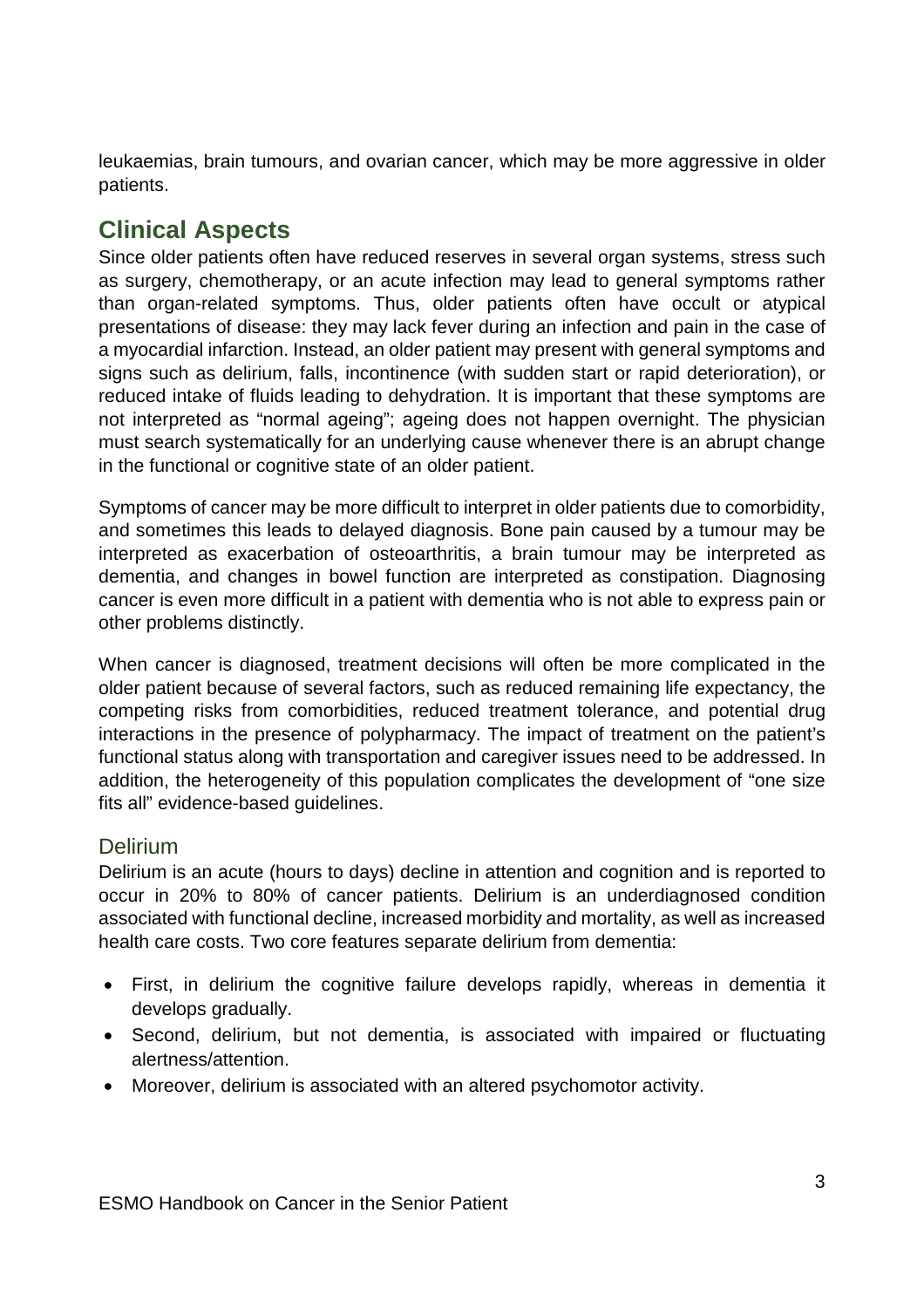leukaemias, brain tumours, and ovarian cancer, which may be more aggressive in older patients.

## **Clinical Aspects**

Since older patients often have reduced reserves in several organ systems, stress such as surgery, chemotherapy, or an acute infection may lead to general symptoms rather than organ-related symptoms. Thus, older patients often have occult or atypical presentations of disease: they may lack fever during an infection and pain in the case of a myocardial infarction. Instead, an older patient may present with general symptoms and signs such as delirium, falls, incontinence (with sudden start or rapid deterioration), or reduced intake of fluids leading to dehydration. It is important that these symptoms are not interpreted as "normal ageing"; ageing does not happen overnight. The physician must search systematically for an underlying cause whenever there is an abrupt change in the functional or cognitive state of an older patient.

Symptoms of cancer may be more difficult to interpret in older patients due to comorbidity, and sometimes this leads to delayed diagnosis. Bone pain caused by a tumour may be interpreted as exacerbation of osteoarthritis, a brain tumour may be interpreted as dementia, and changes in bowel function are interpreted as constipation. Diagnosing cancer is even more difficult in a patient with dementia who is not able to express pain or other problems distinctly.

When cancer is diagnosed, treatment decisions will often be more complicated in the older patient because of several factors, such as reduced remaining life expectancy, the competing risks from comorbidities, reduced treatment tolerance, and potential drug interactions in the presence of polypharmacy. The impact of treatment on the patient's functional status along with transportation and caregiver issues need to be addressed. In addition, the heterogeneity of this population complicates the development of "one size fits all" evidence-based guidelines.

#### **Delirium**

Delirium is an acute (hours to days) decline in attention and cognition and is reported to occur in 20% to 80% of cancer patients. Delirium is an underdiagnosed condition associated with functional decline, increased morbidity and mortality, as well as increased health care costs. Two core features separate delirium from dementia:

- First, in delirium the cognitive failure develops rapidly, whereas in dementia it develops gradually.
- Second, delirium, but not dementia, is associated with impaired or fluctuating alertness/attention.
- Moreover, delirium is associated with an altered psychomotor activity.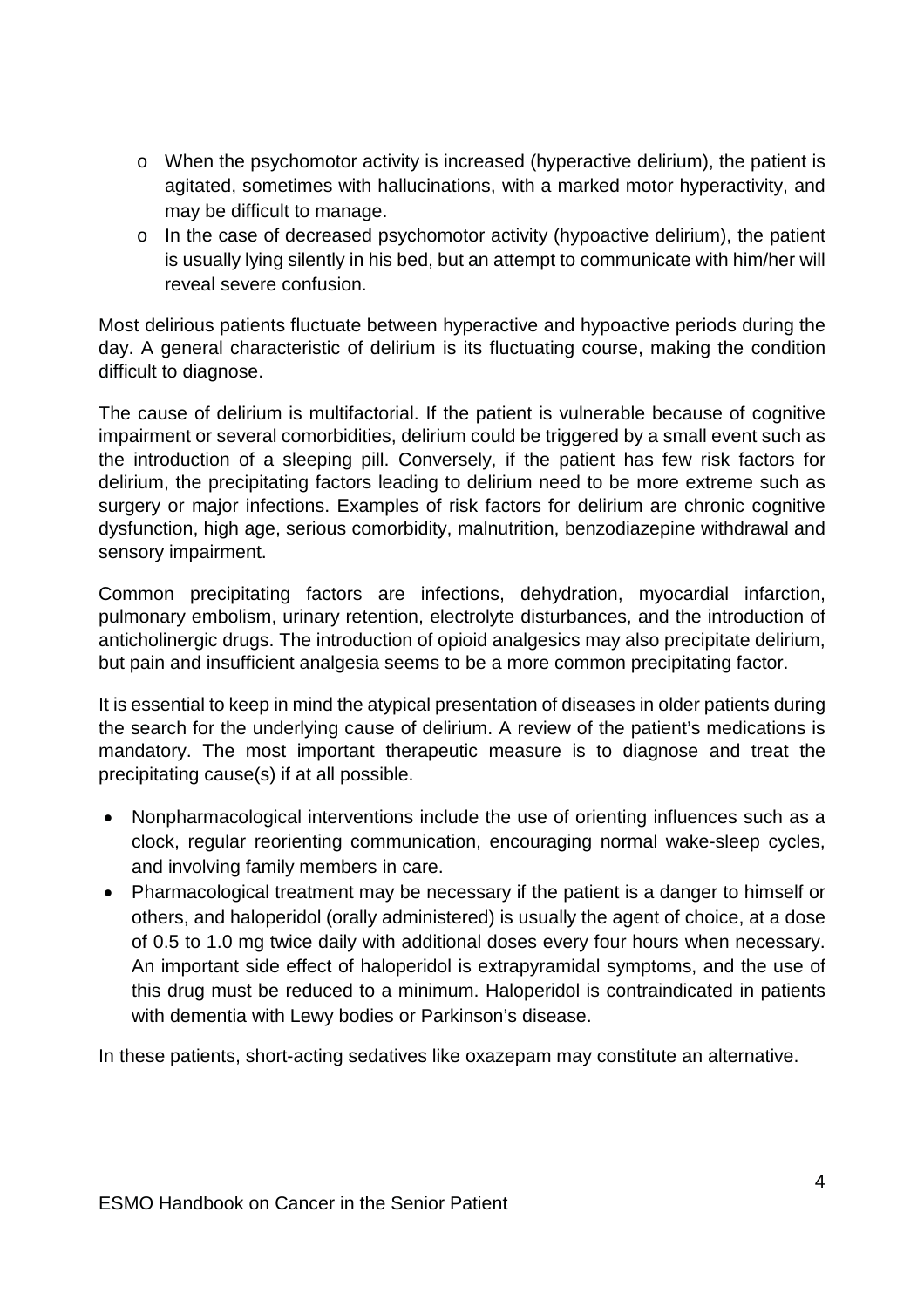- o When the psychomotor activity is increased (hyperactive delirium), the patient is agitated, sometimes with hallucinations, with a marked motor hyperactivity, and may be difficult to manage.
- o In the case of decreased psychomotor activity (hypoactive delirium), the patient is usually lying silently in his bed, but an attempt to communicate with him/her will reveal severe confusion.

Most delirious patients fluctuate between hyperactive and hypoactive periods during the day. A general characteristic of delirium is its fluctuating course, making the condition difficult to diagnose.

The cause of delirium is multifactorial. If the patient is vulnerable because of cognitive impairment or several comorbidities, delirium could be triggered by a small event such as the introduction of a sleeping pill. Conversely, if the patient has few risk factors for delirium, the precipitating factors leading to delirium need to be more extreme such as surgery or major infections. Examples of risk factors for delirium are chronic cognitive dysfunction, high age, serious comorbidity, malnutrition, benzodiazepine withdrawal and sensory impairment.

Common precipitating factors are infections, dehydration, myocardial infarction, pulmonary embolism, urinary retention, electrolyte disturbances, and the introduction of anticholinergic drugs. The introduction of opioid analgesics may also precipitate delirium, but pain and insufficient analgesia seems to be a more common precipitating factor.

It is essential to keep in mind the atypical presentation of diseases in older patients during the search for the underlying cause of delirium. A review of the patient's medications is mandatory. The most important therapeutic measure is to diagnose and treat the precipitating cause(s) if at all possible.

- Nonpharmacological interventions include the use of orienting influences such as a clock, regular reorienting communication, encouraging normal wake-sleep cycles, and involving family members in care.
- Pharmacological treatment may be necessary if the patient is a danger to himself or others, and haloperidol (orally administered) is usually the agent of choice, at a dose of 0.5 to 1.0 mg twice daily with additional doses every four hours when necessary. An important side effect of haloperidol is extrapyramidal symptoms, and the use of this drug must be reduced to a minimum. Haloperidol is contraindicated in patients with dementia with Lewy bodies or Parkinson's disease.

In these patients, short-acting sedatives like oxazepam may constitute an alternative.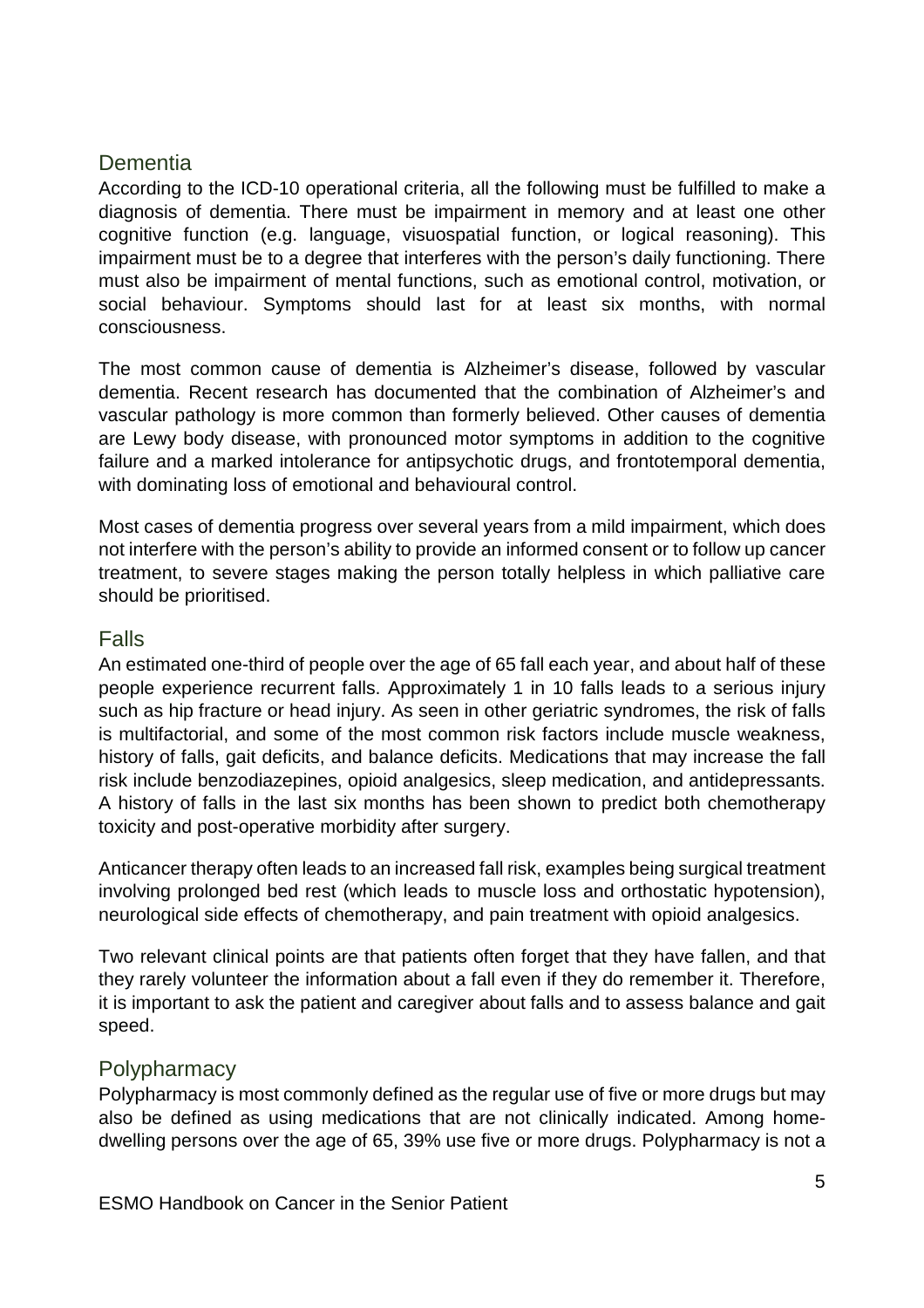#### **Dementia**

According to the ICD-10 operational criteria, all the following must be fulfilled to make a diagnosis of dementia. There must be impairment in memory and at least one other cognitive function (e.g. language, visuospatial function, or logical reasoning). This impairment must be to a degree that interferes with the person's daily functioning. There must also be impairment of mental functions, such as emotional control, motivation, or social behaviour. Symptoms should last for at least six months, with normal consciousness.

The most common cause of dementia is Alzheimer's disease, followed by vascular dementia. Recent research has documented that the combination of Alzheimer's and vascular pathology is more common than formerly believed. Other causes of dementia are Lewy body disease, with pronounced motor symptoms in addition to the cognitive failure and a marked intolerance for antipsychotic drugs, and frontotemporal dementia, with dominating loss of emotional and behavioural control.

Most cases of dementia progress over several years from a mild impairment, which does not interfere with the person's ability to provide an informed consent or to follow up cancer treatment, to severe stages making the person totally helpless in which palliative care should be prioritised.

#### Falls

An estimated one-third of people over the age of 65 fall each year, and about half of these people experience recurrent falls. Approximately 1 in 10 falls leads to a serious injury such as hip fracture or head injury. As seen in other geriatric syndromes, the risk of falls is multifactorial, and some of the most common risk factors include muscle weakness, history of falls, gait deficits, and balance deficits. Medications that may increase the fall risk include benzodiazepines, opioid analgesics, sleep medication, and antidepressants. A history of falls in the last six months has been shown to predict both chemotherapy toxicity and post-operative morbidity after surgery.

Anticancer therapy often leads to an increased fall risk, examples being surgical treatment involving prolonged bed rest (which leads to muscle loss and orthostatic hypotension), neurological side effects of chemotherapy, and pain treatment with opioid analgesics.

Two relevant clinical points are that patients often forget that they have fallen, and that they rarely volunteer the information about a fall even if they do remember it. Therefore, it is important to ask the patient and caregiver about falls and to assess balance and gait speed.

#### **Polypharmacy**

Polypharmacy is most commonly defined as the regular use of five or more drugs but may also be defined as using medications that are not clinically indicated. Among homedwelling persons over the age of 65, 39% use five or more drugs. Polypharmacy is not a